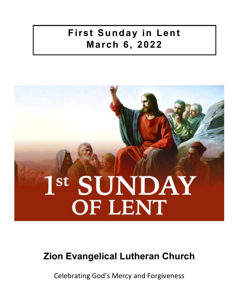# **First Sunday in Lent March 6, 2022**

# 1st SUNDAY **OF LENT**

# **Zion Evangelical Lutheran Church**

Celebrating God's Mercy and Forgiveness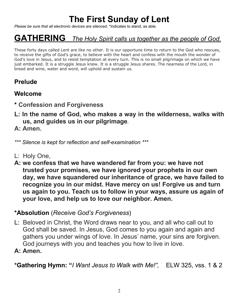# **The First Sunday of Lent**

*Please be sure that all electronic devices are silenced*. \*Indicates to stand, as able.

# **GATHERING** *The Holy Spirit calls us together as the people of God.*

These forty days called Lent are like no other. It is our opportune time to return to the God who rescues, to receive the gifts of God's grace, to believe with the heart and confess with the mouth the wonder of God's love in Jesus, and to resist temptation at every turn. This is no small pilgrimage on which we have just embarked. It is a struggle Jesus knew. It is a struggle Jesus shares. The nearness of the Lord, in bread and wine, water and word, will uphold and sustain us.

#### **Prelude**

#### **Welcome**

- **\* Confession and Forgiveness**
- **L: In the name of God, who makes a way in the wilderness, walks with us, and guides us in our pilgrimage.**
- **A: Amen.**

*\*\*\* Silence is kept for reflection and self-examination \*\*\**

- L: Holy One,
- **A: we confess that we have wandered far from you: we have not trusted your promises, we have ignored your prophets in our own day, we have squandered our inheritance of grace, we have failed to recognize you in our midst. Have mercy on us! Forgive us and turn us again to you. Teach us to follow in your ways, assure us again of your love, and help us to love our neighbor. Amen.**

#### **\*Absolution** (*Receive God's Forgiveness*)

- L: Beloved in Christ, the Word draws near to you, and all who call out to God shall be saved. In Jesus, God comes to you again and again and gathers you under wings of love. In Jesus' name, your sins are forgiven. God journeys with you and teaches you how to live in love.
- **A: Amen.**

**\*Gathering Hymn: "***I Want Jesus to Walk with Me!",* ELW 325, vss. 1 & 2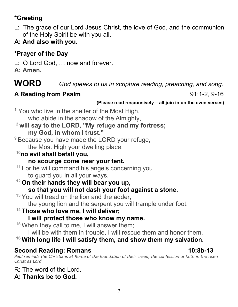#### **\*Greeting**

- L: The grace of our Lord Jesus Christ, the love of God, and the communion of the Holy Spirit be with you all.
- **A: And also with you.**

#### **\*Prayer of the Day**

L: O Lord God, … now and forever.

**A: Amen.**

# **WORD** *God speaks to us in scripture reading, preaching, and song.*

## **A Reading from Psalm** 91:1-2, 9-16

**(Please read responsively – all join in on the even verses)** 

 $<sup>1</sup>$  You who live in the shelter of the Most High,</sup> who abide in the shadow of the Almighty,

- **<sup>2</sup> will say to the LORD, "My refuge and my fortress; my God, in whom I trust."**
- $9$  Because you have made the LORD your refuge, the Most High your dwelling place,
- **10no evil shall befall you,**

#### **no scourge come near your tent.**

 $11$  For he will command his angels concerning you to guard you in all your ways.

**<sup>12</sup> On their hands they will bear you up, so that you will not dash your foot against a stone.**

 $13$  You will tread on the lion and the adder,

the young lion and the serpent you will trample under foot.

#### **<sup>14</sup> Those who love me, I will deliver;**

#### **I will protect those who know my name.**

 $15$  When they call to me, I will answer them;

I will be with them in trouble, I will rescue them and honor them.

#### **<sup>16</sup> With long life I will satisfy them, and show them my salvation.**

#### **Second Reading: Romans 10:8b-13**

*Paul reminds the Christians at Rome of the foundation of their creed, the confession of faith in the risen Christ as Lord.*

 $R^r$ . The word of the Lord.

**A: Thanks be to God.**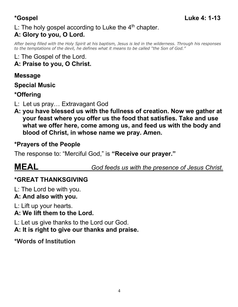#### L: The holy gospel according to Luke the 4<sup>th</sup> chapter. **A: Glory to you, O Lord.**

*After being filled with the Holy Spirit at his baptism, Jesus is led in the wilderness. Through his responses to the temptations of the devil, he defines what it means to be called "the Son of God."*

#### L: The Gospel of the Lord. **A: Praise to you, O Christ.**

#### **Message**

**Special Music**

#### **\*Offering**

- L: Let us pray… Extravagant God
- **A: you have blessed us with the fullness of creation. Now we gather at your feast where you offer us the food that satisfies. Take and use what we offer here, come among us, and feed us with the body and blood of Christ, in whose name we pray. Amen.**

#### **\*Prayers of the People**

The response to: "Merciful God," is **"Receive our prayer."**

# **MEAL** *God feeds us with the presence of Jesus Christ.*

#### **\*GREAT THANKSGIVING**

L: The Lord be with you.

#### **A: And also with you.**

L: Lift up your hearts.

**A: We lift them to the Lord.**

L: Let us give thanks to the Lord our God.

#### **A: It is right to give our thanks and praise.**

**\*Words of Institution**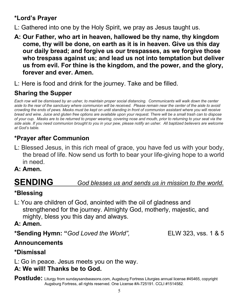#### **\*Lord's Prayer**

L: Gathered into one by the Holy Spirit, we pray as Jesus taught us.

**A: Our Father, who art in heaven, hallowed be thy name, thy kingdom come, thy will be done, on earth as it is in heaven. Give us this day our daily bread; and forgive us our trespasses, as we forgive those who trespass against us; and lead us not into temptation but deliver us from evil. For thine is the kingdom, and the power, and the glory, forever and ever. Amen.**

L: Here is food and drink for the journey. Take and be filled.

### **Sharing the Supper**

*Each row will be dismissed by an usher, to maintain proper social distancing. Communicants will walk down the center aisle to the rear of the sanctuary where communion will be received. Please remain near the center of the aisle to avoid crowding the ends of pews. Masks must be kept on until standing in front of communion assistant where you will receive bread and wine. Juice and gluten free options are available upon your request. There will be a small trash can to dispose of your cup. Masks are to be returned to proper wearing, covering nose and mouth, prior to returning to your seat via the side aisle. If you need communion brought to you in your pew, please notify an usher. All baptized believers are welcome at God's table.* 

#### **\*Prayer after Communion**

L: Blessed Jesus, in this rich meal of grace, you have fed us with your body, the bread of life. Now send us forth to bear your life-giving hope to a world in need.

#### **A: Amen.**

# **SENDING** *God blesses us and sends us in mission to the world.*

#### **\*Blessing**

L: You are children of God, anointed with the oil of gladness and strengthened for the journey. Almighty God, motherly, majestic, and mighty, bless you this day and always.

#### **A: Amen.**

**\*Sending Hymn: "***God Loved the World",* ELW 323, vss. 1 & 5

#### **Announcements**

#### **\*Dismissal**

L: Go in peace. Jesus meets you on the way.

#### **A: We will! Thanks be to God.**

**Postlude:** Liturgy from sundaysandseasons.com, Augsburg Fortress Liturgies annual license #45465, copyright Augsburg Fortress, all rights reserved. One License #A-725191. CCLI #1514582.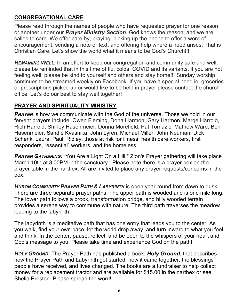#### **CONGREGATIONAL CARE**

Please read through the names of people who have requested prayer for one reason or another under our *Prayer Ministry Section*. God knows the reason, and we are called to care. We offer care by; praying, picking up the phone to offer a word of encouragement, sending a note or text, and offering help where a need arises. That is Christian Care. Let's show the world what it means to be God's Church!!!

*REMAINING WELL:* In an effort to keep our congregation and community safe and well, please be reminded that in this time of flu, colds, COVID and its variants, if you are not feeling well, please be kind to yourself and others and stay home!!! Sunday worship continues to be streamed weekly on Facebook. If you have a special need ie; groceries or prescriptions picked up or would like to be held in prayer please contact the church office. Let's do our best to stay well together!

#### **PRAYER AND SPIRITUALITY MINISTRY**

**PRAYER** is how we communicate with the God of the universe. Those we hold in our fervent prayers include: Owen Fleming, Dona Harmon, Gary Harmon, Marge Harrold, Rich Harrold, Shirley Hasenmeier, Donna Morefield, Pat Tomazic, Mathew Ward, Ben Hasenmeier, Sandie Kvasnika, John Lyren, Michael Miller, John Neuman, Dick Schenk, Laura, Paul, Ridley, those at risk for illness, health care workers, first responders, "essential" workers, and the homeless.

**PRAYER GATHERING:** "You Are a Light On a Hill," Zion's Prayer gathering will take place March 10th at 3:00PM in the sanctuary. Please note there is a prayer box on the prayer table in the narthex. All are invited to place any prayer requests/concerns in the box.

*HURON COMMUNITY PRAYER PATH & LABYRINTH* is open year-round from dawn to dusk. There are three separate prayer paths. The upper path is wooded and is one mile long. The lower path follows a brook, transformation bridge, and hilly wooded terrain provides a serene way to commune with nature. The third path traverses the meadow leading to the labyrinth.

The labyrinth is a meditative path that has one entry that leads you to the center. As you walk, find your own pace, let the world drop away, and turn inward to what you feel and think. In the center, pause, reflect, and be open to the whispers of your heart and God's message to you. Please take time and experience God on the path!

*HOLY GROUND:* The Prayer Path has published a book, *Holy Ground***,** that describes how the Prayer Path and Labyrinth got started, how it came together, the blessings people have received, and lives changed. The books are a fundraiser to help collect money for a replacement tractor and are available for \$15.00 in the narthex or see Shelia Preston. Please spread the word!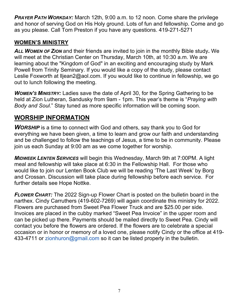*PRAYER PATH WORKDAY:* March 12th, 9:00 a.m. to 12 noon. Come share the privilege and honor of serving God on His Holy ground. Lots of fun and fellowship. Come and go as you please. Call Tom Preston if you have any questions. 419-271-5271

#### **WOMEN'S MINISTRY**

*ALL WOMEN OF ZION* and their friends are invited to join in the monthly Bible study**.** We will meet at the Christian Center on Thursday, March 10th, at 10:30 a.m. We are learning about the "Kingdom of God" in an exciting and encouraging study by Mark Powell from Trinity Seminary. If you would like a copy of the study, please contact Leslie Foxworth at lljean2@aol.com. If you would like to continue in fellowship, we go out to lunch following the meeting.

*WOMEN'S MINISTRY:* Ladies save the date of April 30, for the Spring Gathering to be held at Zion Lutheran, Sandusky from 9am - 1pm. This year's theme is "*Praying with Body and Soul*." Stay tuned as more specific information will be coming soon.

#### **WORSHIP INFORMATION**

**WORSHIP** is a time to connect with God and others, say thank you to God for everything we have been given, a time to learn and grow our faith and understanding and be challenged to follow the teachings of Jesus, a time to be in community. Please join us each Sunday at 9:00 am as we come together for worship.

*MIDWEEK LENTEN SERVICES* will begin this Wednesday, March 9th at 7:00PM. A light meal and fellowship will take place at 6:30 in the Fellowship Hall. For those who would like to join our Lenten Book Club we will be reading 'The Last Week' by Borg and Crossan. Discussion will take place during fellowship before each service. For further details see Hope Nottke.

*FLOWER CHART:* The 2022 Sign-up Flower Chart is posted on the bulletin board in the narthex. Cindy Carruthers (419-602-7269) will again coordinate this ministry for 2022. Flowers are purchased from Sweet Pea Flower Truck and are \$25.00 per side. Invoices are placed in the cubby marked "Sweet Pea Invoice" in the upper room and can be picked up there. Payments should be mailed directly to Sweet Pea. Cindy will contact you before the flowers are ordered. If the flowers are to celebrate a special occasion or in honor or memory of a loved one, please notify Cindy or the office at 419- 433-4711 or zionhuron@gmail.com so it can be listed properly in the bulletin.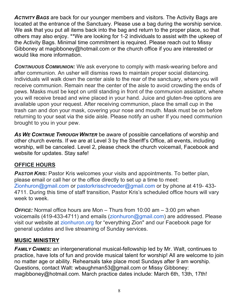*ACTIVITY BAGS* are back for our younger members and visitors. The Activity Bags are located at the entrance of the Sanctuary. Please use a bag during the worship service. We ask that you put all items back into the bag and return to the proper place, so that others may also enjoy. \*\*We are looking for 1-2 individuals to assist with the upkeep of the Activity Bags. Minimal time commitment is required. Please reach out to Missy Gibboney at magibboney@hotmail.com or the church office if you are interested or would like more information.

*CONTINUOUS COMMUNION:* We ask everyone to comply with mask-wearing before and after communion. An usher will dismiss rows to maintain proper social distancing. Individuals will walk down the center aisle to the rear of the sanctuary, where you will receive communion. Remain near the center of the aisle to avoid crowding the ends of pews. Masks must be kept on until standing in front of the communion assistant, where you will receive bread and wine placed in your hand. Juice and gluten-free options are available upon your request. After receiving communion, place the small cup in the trash can and don your mask, covering your nose and mouth. Mask must be on before returning to your seat via the side aisle. Please notify an usher If you need communion brought to you in your pew.

*AS WE CONTINUE THROUGH WINTER* be aware of possible cancellations of worship and other church events. If we are at Level 3 by the Sheriff's Office, all events, including worship, will be canceled. Level 2, please check the church voicemail, Facebook and website for updates. Stay safe!

#### **OFFICE HOURS**

**PASTOR KRIS:** Pastor Kris welcomes your visits and appointments. To better plan, please email or call her or the office directly to set up a time to meet: Zionhuron@gmail.com or pastorkrisschroeder@gmail.com or by phone at 419- 433- 4711. During this time of staff transition, Pastor Kris's scheduled office hours will vary week to week.

*OFFICE:* Normal office hours are Mon – Thurs from 10:00 am – 3:00 pm when voicemails (419-433-4711) and emails (zionhuron@gmail.com) are addressed. Please visit our website at zionhuron.org for "everything Zion" and our Facebook page for general updates and live streaming of Sunday services.

#### **MUSIC MINISTRY**

*FAMILY CHIMES:* an intergenerational musical-fellowship led by Mr. Walt, continues to practice, have lots of fun and provide musical talent for worship! All are welcome to join no matter age or ability. Rehearsals take place most Sundays after 9 am worship. Questions, contact Walt: wbaughman53@gmail.com or Missy Gibboney: magibboney@hotmail.com. March practice dates include: March 6th, 13th, 17th!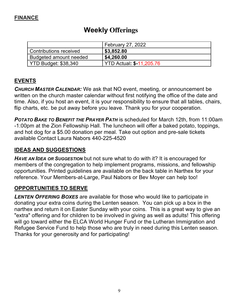|                               | February 27, 2022               |
|-------------------------------|---------------------------------|
| <b>Contributions received</b> | \$3,852.80                      |
| Budgeted amount needed        | \$4,260.00                      |
| <b>YTD Budget: \$38,340</b>   | <b>YTD Actual: \$-11,205.76</b> |

#### **Weekly Offerings**

#### **EVENTS**

*CHURCH MASTER CALENDAR:* We ask that NO event, meeting, or announcement be written on the church master calendar without first notifying the office of the date and time. Also, if you host an event, it is your responsibility to ensure that all tables, chairs, flip charts, etc. be put away before you leave. Thank you for your cooperation.

*POTATO BAKE TO BENEFIT THE PRAYER PATH* is scheduled for March 12th, from 11:00am -1:00pm at the Zion Fellowship Hall. The luncheon will offer a baked potato, toppings, and hot dog for a \$5.00 donation per meal. Take out option and pre-sale tickets available Contact Laura Nabors 440-225-4520

#### **IDEAS AND SUGGESTIONS**

*HAVE AN IDEA OR SUGGESTION* but not sure what to do with it? It is encouraged for members of the congregation to help implement programs, missions, and fellowship opportunities. Printed guidelines are available on the back table in Narthex for your reference. Your Members-at-Large, Paul Nabors or Bev Moyer can help too!

#### **OPPORTUNITIES TO SERVE**

*LENTEN OFFERING BOXES* are available for those who would like to participate in donating your extra coins during the Lenten season. You can pick up a box in the narthex and return it on Easter Sunday with your coins. This is a great way to give an "extra" offering and for children to be involved in giving as well as adults! This offering will go toward either the ELCA World Hunger Fund or the Lutheran Immigration and Refugee Service Fund to help those who are truly in need during this Lenten season. Thanks for your generosity and for participating!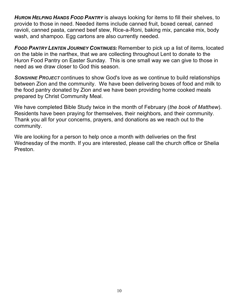*HURON HELPING HANDS FOOD PANTRY* is always looking for items to fill their shelves, to provide to those in need. Needed items include canned fruit, boxed cereal, canned ravioli, canned pasta, canned beef stew, Rice-a-Roni, baking mix, pancake mix, body wash, and shampoo. Egg cartons are also currently needed.

*FOOD PANTRY LENTEN JOURNEY CONTINUES:* Remember to pick up a list of items, located on the table in the narthex, that we are collecting throughout Lent to donate to the Huron Food Pantry on Easter Sunday. This is one small way we can give to those in need as we draw closer to God this season.

**SONSHINE PROJECT** continues to show God's love as we continue to build relationships between Zion and the community. We have been delivering boxes of food and milk to the food pantry donated by Zion and we have been providing home cooked meals prepared by Christ Community Meal.

We have completed Bible Study twice in the month of February (*the book of Matthew*). Residents have been praying for themselves, their neighbors, and their community. Thank you all for your concerns, prayers, and donations as we reach out to the community.

We are looking for a person to help once a month with deliveries on the first Wednesday of the month. If you are interested, please call the church office or Shelia Preston.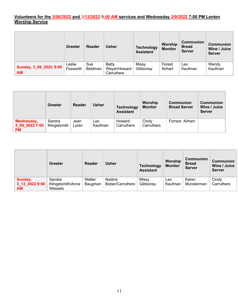#### **Volunteers for the 3/06/2022 and** 3**/13/2022** 9**:00 AM services and Wednesday 3/9/2022 7:00 PM Lenten Worship Service**

|                              | Greeter            | Reader         | <b>Usher</b>                               | <b>Technology</b><br><b>Assistant</b> | Worship<br><b>Monitor</b> | <b>Communion</b><br><b>Bread</b><br><b>Server</b> | <b>Communion</b><br>Wine / Juice<br><b>Server</b> |
|------------------------------|--------------------|----------------|--------------------------------------------|---------------------------------------|---------------------------|---------------------------------------------------|---------------------------------------------------|
| Sunday, 3_06_2022 9:00<br>AM | Leslie<br>Foxworth | Sue<br>Boldman | <b>Betty</b><br>Weyer/Howard<br>Carruthers | Missy<br>Gibboney                     | Forest<br>Airhart         | Leo<br>Kaufman                                    | Wendy<br>Kaufman                                  |

|                                           | <b>Greeter</b>         | Reader        | <b>Usher</b>   | <b>Technology</b><br><b>Assistant</b> | Worship<br><b>Monitor</b> | Communion<br><b>Bread Server</b> | Communion<br>Wine / Juice<br><b>Server</b> |
|-------------------------------------------|------------------------|---------------|----------------|---------------------------------------|---------------------------|----------------------------------|--------------------------------------------|
| Wednesday,<br>3 09 2022 7:00<br><b>PM</b> | Sandra<br>Klingelsmith | Jean<br>Lvren | Leo<br>Kaufman | Howard<br>Carruthers                  | Cindy<br>Carruthers       | Forrest Airhart                  |                                            |

|                                 | Greeter                                | <b>Reader</b>     | <b>Usher</b>               | <b>Technology</b><br><b>Assistant</b> | Worship<br><b>Monitor</b> | <b>Communion</b><br><b>Bread</b><br><b>Server</b> | <b>Communion</b><br>Wine / Juice<br><b>Server</b> |
|---------------------------------|----------------------------------------|-------------------|----------------------------|---------------------------------------|---------------------------|---------------------------------------------------|---------------------------------------------------|
| Sunday,<br>3 13 2022 9:00<br>AM | Sandra<br>Klingelsmith/Anne<br>Wessels | Walter<br>Baugman | Nadine<br>Bober/Carruthers | Missy<br>Gibboney                     | Leo<br>Kaufman            | Karen<br>Munsterman                               | Cindy<br>Carruthers                               |